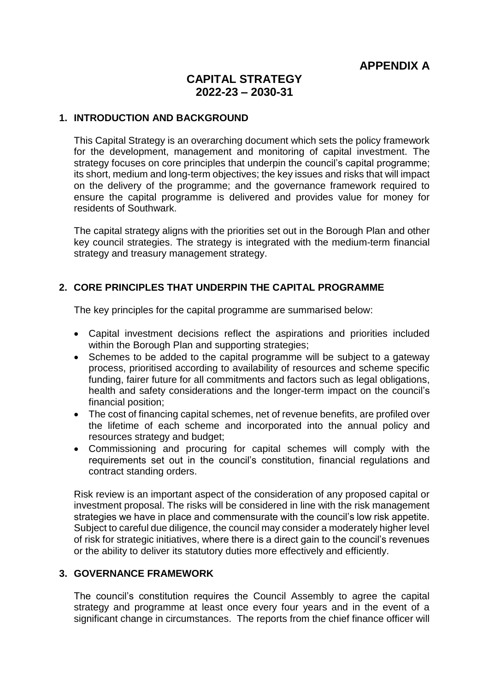**APPENDIX A**

# **CAPITAL STRATEGY 2022-23 – 2030-31**

#### **1. INTRODUCTION AND BACKGROUND**

This Capital Strategy is an overarching document which sets the policy framework for the development, management and monitoring of capital investment. The strategy focuses on core principles that underpin the council's capital programme; its short, medium and long-term objectives; the key issues and risks that will impact on the delivery of the programme; and the governance framework required to ensure the capital programme is delivered and provides value for money for residents of Southwark.

The capital strategy aligns with the priorities set out in the Borough Plan and other key council strategies. The strategy is integrated with the medium-term financial strategy and treasury management strategy.

### **2. CORE PRINCIPLES THAT UNDERPIN THE CAPITAL PROGRAMME**

The key principles for the capital programme are summarised below:

- Capital investment decisions reflect the aspirations and priorities included within the Borough Plan and supporting strategies;
- Schemes to be added to the capital programme will be subject to a gateway process, prioritised according to availability of resources and scheme specific funding, fairer future for all commitments and factors such as legal obligations, health and safety considerations and the longer-term impact on the council's financial position;
- The cost of financing capital schemes, net of revenue benefits, are profiled over the lifetime of each scheme and incorporated into the annual policy and resources strategy and budget;
- Commissioning and procuring for capital schemes will comply with the requirements set out in the council's constitution, financial regulations and contract standing orders.

Risk review is an important aspect of the consideration of any proposed capital or investment proposal. The risks will be considered in line with the risk management strategies we have in place and commensurate with the council's low risk appetite. Subject to careful due diligence, the council may consider a moderately higher level of risk for strategic initiatives, where there is a direct gain to the council's revenues or the ability to deliver its statutory duties more effectively and efficiently.

#### **3. GOVERNANCE FRAMEWORK**

The council's constitution requires the Council Assembly to agree the capital strategy and programme at least once every four years and in the event of a significant change in circumstances. The reports from the chief finance officer will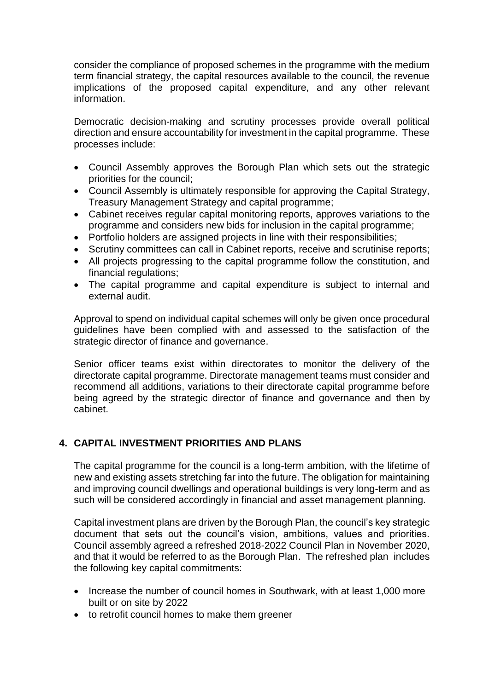consider the compliance of proposed schemes in the programme with the medium term financial strategy, the capital resources available to the council, the revenue implications of the proposed capital expenditure, and any other relevant information.

Democratic decision-making and scrutiny processes provide overall political direction and ensure accountability for investment in the capital programme. These processes include:

- Council Assembly approves the Borough Plan which sets out the strategic priorities for the council;
- Council Assembly is ultimately responsible for approving the Capital Strategy, Treasury Management Strategy and capital programme;
- Cabinet receives regular capital monitoring reports, approves variations to the programme and considers new bids for inclusion in the capital programme;
- Portfolio holders are assigned projects in line with their responsibilities;
- Scrutiny committees can call in Cabinet reports, receive and scrutinise reports;
- All projects progressing to the capital programme follow the constitution, and financial regulations;
- The capital programme and capital expenditure is subject to internal and external audit.

Approval to spend on individual capital schemes will only be given once procedural guidelines have been complied with and assessed to the satisfaction of the strategic director of finance and governance.

Senior officer teams exist within directorates to monitor the delivery of the directorate capital programme. Directorate management teams must consider and recommend all additions, variations to their directorate capital programme before being agreed by the strategic director of finance and governance and then by cabinet.

## **4. CAPITAL INVESTMENT PRIORITIES AND PLANS**

The capital programme for the council is a long-term ambition, with the lifetime of new and existing assets stretching far into the future. The obligation for maintaining and improving council dwellings and operational buildings is very long-term and as such will be considered accordingly in financial and asset management planning.

Capital investment plans are driven by the Borough Plan, the council's key strategic document that sets out the council's vision, ambitions, values and priorities. Council assembly agreed a refreshed 2018-2022 Council Plan in November 2020, and that it would be referred to as the Borough Plan. The refreshed plan includes the following key capital commitments:

- Increase the number of council homes in Southwark, with at least 1,000 more built or on site by 2022
- to retrofit council homes to make them greener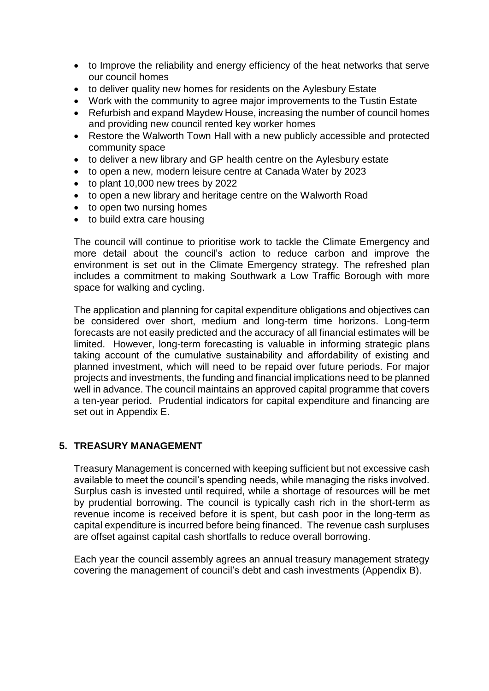- to Improve the reliability and energy efficiency of the heat networks that serve our council homes
- to deliver quality new homes for residents on the Aylesbury Estate
- Work with the community to agree major improvements to the Tustin Estate
- Refurbish and expand Maydew House, increasing the number of council homes and providing new council rented key worker homes
- Restore the Walworth Town Hall with a new publicly accessible and protected community space
- to deliver a new library and GP health centre on the Aylesbury estate
- to open a new, modern leisure centre at Canada Water by 2023
- $\bullet$  to plant 10,000 new trees by 2022
- to open a new library and heritage centre on the Walworth Road
- to open two nursing homes
- to build extra care housing

The council will continue to prioritise work to tackle the Climate Emergency and more detail about the council's action to reduce carbon and improve the environment is set out in the Climate Emergency strategy. The refreshed plan includes a commitment to making Southwark a Low Traffic Borough with more space for walking and cycling.

The application and planning for capital expenditure obligations and objectives can be considered over short, medium and long-term time horizons. Long-term forecasts are not easily predicted and the accuracy of all financial estimates will be limited. However, long-term forecasting is valuable in informing strategic plans taking account of the cumulative sustainability and affordability of existing and planned investment, which will need to be repaid over future periods. For major projects and investments, the funding and financial implications need to be planned well in advance. The council maintains an approved capital programme that covers a ten-year period. Prudential indicators for capital expenditure and financing are set out in Appendix E.

## **5. TREASURY MANAGEMENT**

Treasury Management is concerned with keeping sufficient but not excessive cash available to meet the council's spending needs, while managing the risks involved. Surplus cash is invested until required, while a shortage of resources will be met by prudential borrowing. The council is typically cash rich in the short-term as revenue income is received before it is spent, but cash poor in the long-term as capital expenditure is incurred before being financed. The revenue cash surpluses are offset against capital cash shortfalls to reduce overall borrowing.

Each year the council assembly agrees an annual treasury management strategy covering the management of council's debt and cash investments (Appendix B).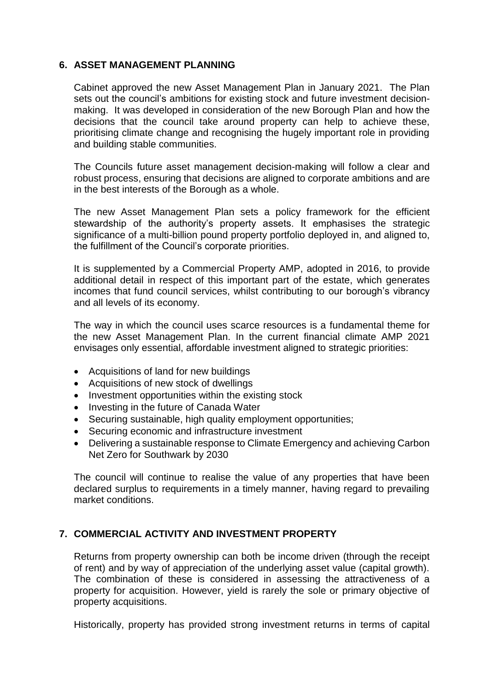#### **6. ASSET MANAGEMENT PLANNING**

Cabinet approved the new Asset Management Plan in January 2021. The Plan sets out the council's ambitions for existing stock and future investment decisionmaking. It was developed in consideration of the new Borough Plan and how the decisions that the council take around property can help to achieve these, prioritising climate change and recognising the hugely important role in providing and building stable communities.

The Councils future asset management decision-making will follow a clear and robust process, ensuring that decisions are aligned to corporate ambitions and are in the best interests of the Borough as a whole.

The new Asset Management Plan sets a policy framework for the efficient stewardship of the authority's property assets. It emphasises the strategic significance of a multi-billion pound property portfolio deployed in, and aligned to, the fulfillment of the Council's corporate priorities.

It is supplemented by a Commercial Property AMP, adopted in 2016, to provide additional detail in respect of this important part of the estate, which generates incomes that fund council services, whilst contributing to our borough's vibrancy and all levels of its economy.

The way in which the council uses scarce resources is a fundamental theme for the new Asset Management Plan. In the current financial climate AMP 2021 envisages only essential, affordable investment aligned to strategic priorities:

- Acquisitions of land for new buildings
- Acquisitions of new stock of dwellings
- Investment opportunities within the existing stock
- Investing in the future of Canada Water
- Securing sustainable, high quality employment opportunities;
- Securing economic and infrastructure investment
- Delivering a sustainable response to Climate Emergency and achieving Carbon Net Zero for Southwark by 2030

The council will continue to realise the value of any properties that have been declared surplus to requirements in a timely manner, having regard to prevailing market conditions.

## **7. COMMERCIAL ACTIVITY AND INVESTMENT PROPERTY**

Returns from property ownership can both be income driven (through the receipt of rent) and by way of appreciation of the underlying asset value (capital growth). The combination of these is considered in assessing the attractiveness of a property for acquisition. However, yield is rarely the sole or primary objective of property acquisitions.

Historically, property has provided strong investment returns in terms of capital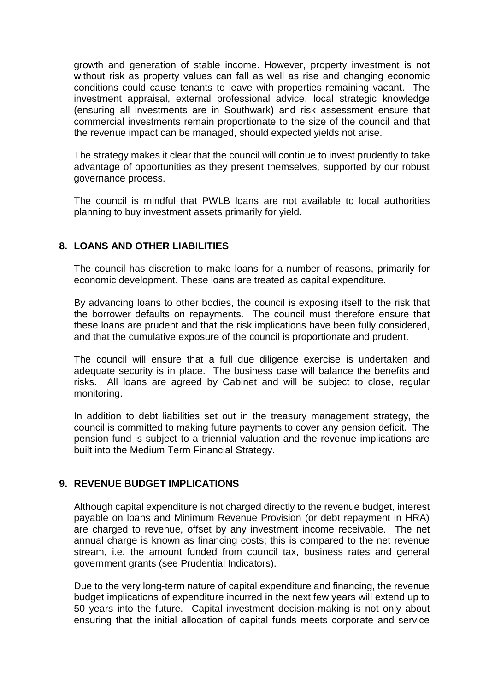growth and generation of stable income. However, property investment is not without risk as property values can fall as well as rise and changing economic conditions could cause tenants to leave with properties remaining vacant. The investment appraisal, external professional advice, local strategic knowledge (ensuring all investments are in Southwark) and risk assessment ensure that commercial investments remain proportionate to the size of the council and that the revenue impact can be managed, should expected yields not arise.

The strategy makes it clear that the council will continue to invest prudently to take advantage of opportunities as they present themselves, supported by our robust governance process.

The council is mindful that PWLB loans are not available to local authorities planning to buy investment assets primarily for yield.

## **8. LOANS AND OTHER LIABILITIES**

The council has discretion to make loans for a number of reasons, primarily for economic development. These loans are treated as capital expenditure.

By advancing loans to other bodies, the council is exposing itself to the risk that the borrower defaults on repayments. The council must therefore ensure that these loans are prudent and that the risk implications have been fully considered, and that the cumulative exposure of the council is proportionate and prudent.

The council will ensure that a full due diligence exercise is undertaken and adequate security is in place. The business case will balance the benefits and risks. All loans are agreed by Cabinet and will be subject to close, regular monitoring.

In addition to debt liabilities set out in the treasury management strategy, the council is committed to making future payments to cover any pension deficit. The pension fund is subject to a triennial valuation and the revenue implications are built into the Medium Term Financial Strategy.

#### **9. REVENUE BUDGET IMPLICATIONS**

Although capital expenditure is not charged directly to the revenue budget, interest payable on loans and Minimum Revenue Provision (or debt repayment in HRA) are charged to revenue, offset by any investment income receivable. The net annual charge is known as financing costs; this is compared to the net revenue stream, i.e. the amount funded from council tax, business rates and general government grants (see Prudential Indicators).

Due to the very long-term nature of capital expenditure and financing, the revenue budget implications of expenditure incurred in the next few years will extend up to 50 years into the future. Capital investment decision-making is not only about ensuring that the initial allocation of capital funds meets corporate and service